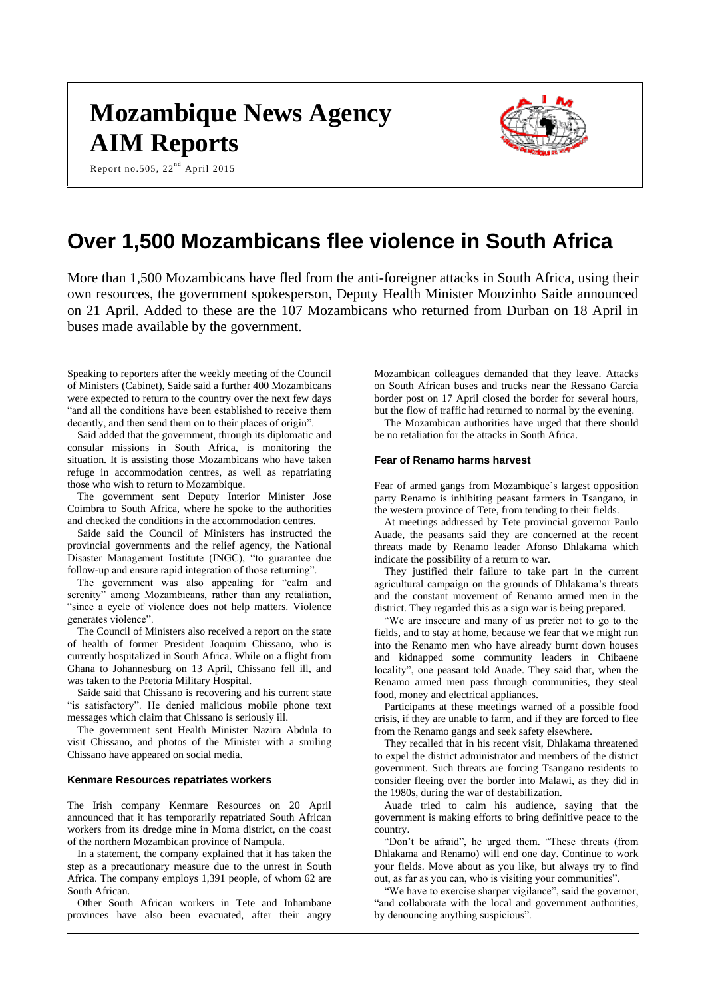# **Mozambique News Agency AIM Reports**

Report no.505,  $22^{nd}$  April 2015



# **Over 1,500 Mozambicans flee violence in South Africa**

More than 1,500 Mozambicans have fled from the anti-foreigner attacks in South Africa, using their own resources, the government spokesperson, Deputy Health Minister Mouzinho Saide announced on 21 April. Added to these are the 107 Mozambicans who returned from Durban on 18 April in buses made available by the government.

Speaking to reporters after the weekly meeting of the Council of Ministers (Cabinet), Saide said a further 400 Mozambicans were expected to return to the country over the next few days "and all the conditions have been established to receive them decently, and then send them on to their places of origin".

Said added that the government, through its diplomatic and consular missions in South Africa, is monitoring the situation. It is assisting those Mozambicans who have taken refuge in accommodation centres, as well as repatriating those who wish to return to Mozambique.

The government sent Deputy Interior Minister Jose Coimbra to South Africa, where he spoke to the authorities and checked the conditions in the accommodation centres.

Saide said the Council of Ministers has instructed the provincial governments and the relief agency, the National Disaster Management Institute (INGC), "to guarantee due follow-up and ensure rapid integration of those returning".

The government was also appealing for "calm and serenity" among Mozambicans, rather than any retaliation, "since a cycle of violence does not help matters. Violence generates violence".

The Council of Ministers also received a report on the state of health of former President Joaquim Chissano, who is currently hospitalized in South Africa. While on a flight from Ghana to Johannesburg on 13 April, Chissano fell ill, and was taken to the Pretoria Military Hospital.

Saide said that Chissano is recovering and his current state "is satisfactory". He denied malicious mobile phone text messages which claim that Chissano is seriously ill.

The government sent Health Minister Nazira Abdula to visit Chissano, and photos of the Minister with a smiling Chissano have appeared on social media.

#### **Kenmare Resources repatriates workers**

The Irish company Kenmare Resources on 20 April announced that it has temporarily repatriated South African workers from its dredge mine in Moma district, on the coast of the northern Mozambican province of Nampula.

In a statement, the company explained that it has taken the step as a precautionary measure due to the unrest in South Africa. The company employs 1,391 people, of whom 62 are South African.

Other South African workers in Tete and Inhambane provinces have also been evacuated, after their angry Mozambican colleagues demanded that they leave. Attacks on South African buses and trucks near the Ressano Garcia border post on 17 April closed the border for several hours, but the flow of traffic had returned to normal by the evening.

The Mozambican authorities have urged that there should be no retaliation for the attacks in South Africa.

# **Fear of Renamo harms harvest**

Fear of armed gangs from Mozambique's largest opposition party Renamo is inhibiting peasant farmers in Tsangano, in the western province of Tete, from tending to their fields.

At meetings addressed by Tete provincial governor Paulo Auade, the peasants said they are concerned at the recent threats made by Renamo leader Afonso Dhlakama which indicate the possibility of a return to war.

They justified their failure to take part in the current agricultural campaign on the grounds of Dhlakama's threats and the constant movement of Renamo armed men in the district. They regarded this as a sign war is being prepared.

"We are insecure and many of us prefer not to go to the fields, and to stay at home, because we fear that we might run into the Renamo men who have already burnt down houses and kidnapped some community leaders in Chibaene locality", one peasant told Auade. They said that, when the Renamo armed men pass through communities, they steal food, money and electrical appliances.

Participants at these meetings warned of a possible food crisis, if they are unable to farm, and if they are forced to flee from the Renamo gangs and seek safety elsewhere.

They recalled that in his recent visit, Dhlakama threatened to expel the district administrator and members of the district government. Such threats are forcing Tsangano residents to consider fleeing over the border into Malawi, as they did in the 1980s, during the war of destabilization.

Auade tried to calm his audience, saying that the government is making efforts to bring definitive peace to the country.

"Don't be afraid", he urged them. "These threats (from Dhlakama and Renamo) will end one day. Continue to work your fields. Move about as you like, but always try to find out, as far as you can, who is visiting your communities".

"We have to exercise sharper vigilance", said the governor, "and collaborate with the local and government authorities, by denouncing anything suspicious".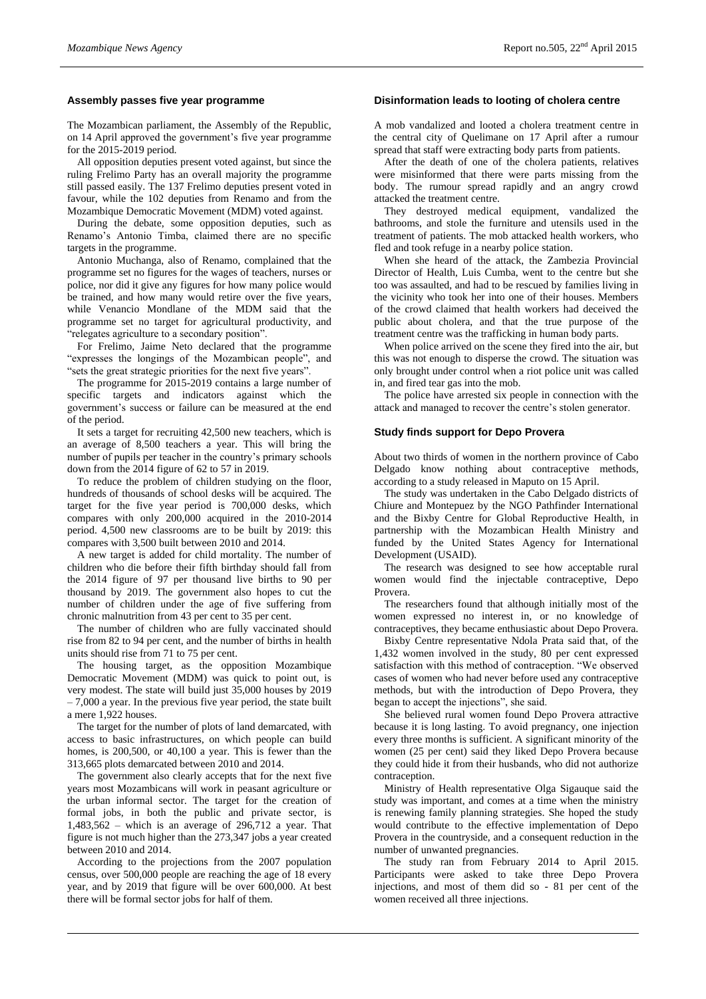# **Assembly passes five year programme**

The Mozambican parliament, the Assembly of the Republic, on 14 April approved the government's five year programme for the 2015-2019 period.

All opposition deputies present voted against, but since the ruling Frelimo Party has an overall majority the programme still passed easily. The 137 Frelimo deputies present voted in favour, while the 102 deputies from Renamo and from the Mozambique Democratic Movement (MDM) voted against.

During the debate, some opposition deputies, such as Renamo's Antonio Timba, claimed there are no specific targets in the programme.

Antonio Muchanga, also of Renamo, complained that the programme set no figures for the wages of teachers, nurses or police, nor did it give any figures for how many police would be trained, and how many would retire over the five years, while Venancio Mondlane of the MDM said that the programme set no target for agricultural productivity, and "relegates agriculture to a secondary position".

For Frelimo, Jaime Neto declared that the programme "expresses the longings of the Mozambican people", and "sets the great strategic priorities for the next five years".

The programme for 2015-2019 contains a large number of specific targets and indicators against which the government's success or failure can be measured at the end of the period.

It sets a target for recruiting 42,500 new teachers, which is an average of 8,500 teachers a year. This will bring the number of pupils per teacher in the country's primary schools down from the 2014 figure of 62 to 57 in 2019.

To reduce the problem of children studying on the floor, hundreds of thousands of school desks will be acquired. The target for the five year period is 700,000 desks, which compares with only 200,000 acquired in the 2010-2014 period. 4,500 new classrooms are to be built by 2019: this compares with 3,500 built between 2010 and 2014.

A new target is added for child mortality. The number of children who die before their fifth birthday should fall from the 2014 figure of 97 per thousand live births to 90 per thousand by 2019. The government also hopes to cut the number of children under the age of five suffering from chronic malnutrition from 43 per cent to 35 per cent.

The number of children who are fully vaccinated should rise from 82 to 94 per cent, and the number of births in health units should rise from 71 to 75 per cent.

The housing target, as the opposition Mozambique Democratic Movement (MDM) was quick to point out, is very modest. The state will build just 35,000 houses by 2019 – 7,000 a year. In the previous five year period, the state built a mere 1,922 houses.

The target for the number of plots of land demarcated, with access to basic infrastructures, on which people can build homes, is 200,500, or 40,100 a year. This is fewer than the 313,665 plots demarcated between 2010 and 2014.

The government also clearly accepts that for the next five years most Mozambicans will work in peasant agriculture or the urban informal sector. The target for the creation of formal jobs, in both the public and private sector, is  $1,483,562$  – which is an average of 296,712 a year. That figure is not much higher than the 273,347 jobs a year created between 2010 and 2014.

According to the projections from the 2007 population census, over 500,000 people are reaching the age of 18 every year, and by 2019 that figure will be over 600,000. At best there will be formal sector jobs for half of them.

# **Disinformation leads to looting of cholera centre**

A mob vandalized and looted a cholera treatment centre in the central city of Quelimane on 17 April after a rumour spread that staff were extracting body parts from patients.

After the death of one of the cholera patients, relatives were misinformed that there were parts missing from the body. The rumour spread rapidly and an angry crowd attacked the treatment centre.

They destroyed medical equipment, vandalized the bathrooms, and stole the furniture and utensils used in the treatment of patients. The mob attacked health workers, who fled and took refuge in a nearby police station.

When she heard of the attack, the Zambezia Provincial Director of Health, Luis Cumba, went to the centre but she too was assaulted, and had to be rescued by families living in the vicinity who took her into one of their houses. Members of the crowd claimed that health workers had deceived the public about cholera, and that the true purpose of the treatment centre was the trafficking in human body parts.

When police arrived on the scene they fired into the air, but this was not enough to disperse the crowd. The situation was only brought under control when a riot police unit was called in, and fired tear gas into the mob.

The police have arrested six people in connection with the attack and managed to recover the centre's stolen generator.

#### **Study finds support for Depo Provera**

About two thirds of women in the northern province of Cabo Delgado know nothing about contraceptive methods, according to a study released in Maputo on 15 April.

The study was undertaken in the Cabo Delgado districts of Chiure and Montepuez by the NGO Pathfinder International and the Bixby Centre for Global Reproductive Health, in partnership with the Mozambican Health Ministry and funded by the United States Agency for International Development (USAID).

The research was designed to see how acceptable rural women would find the injectable contraceptive, Depo Provera.

The researchers found that although initially most of the women expressed no interest in, or no knowledge of contraceptives, they became enthusiastic about Depo Provera.

Bixby Centre representative Ndola Prata said that, of the 1,432 women involved in the study, 80 per cent expressed satisfaction with this method of contraception. "We observed cases of women who had never before used any contraceptive methods, but with the introduction of Depo Provera, they began to accept the injections", she said.

She believed rural women found Depo Provera attractive because it is long lasting. To avoid pregnancy, one injection every three months is sufficient. A significant minority of the women (25 per cent) said they liked Depo Provera because they could hide it from their husbands, who did not authorize contraception.

Ministry of Health representative Olga Sigauque said the study was important, and comes at a time when the ministry is renewing family planning strategies. She hoped the study would contribute to the effective implementation of Depo Provera in the countryside, and a consequent reduction in the number of unwanted pregnancies.

The study ran from February 2014 to April 2015. Participants were asked to take three Depo Provera injections, and most of them did so - 81 per cent of the women received all three injections.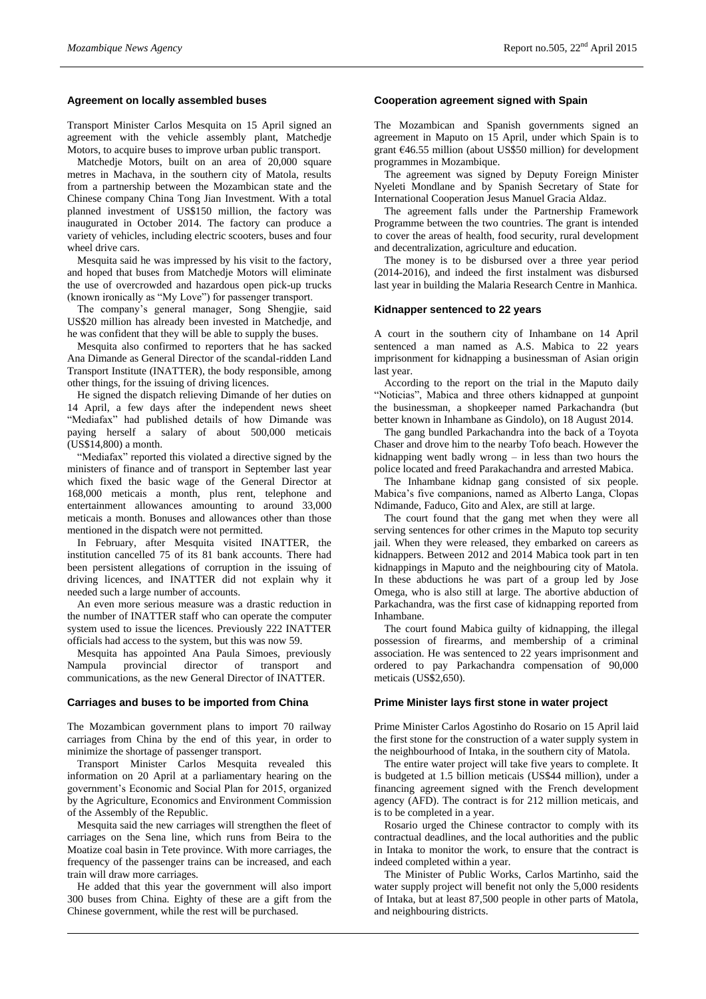# **Agreement on locally assembled buses**

Transport Minister Carlos Mesquita on 15 April signed an agreement with the vehicle assembly plant, Matchedje Motors, to acquire buses to improve urban public transport.

Matchedje Motors, built on an area of 20,000 square metres in Machava, in the southern city of Matola, results from a partnership between the Mozambican state and the Chinese company China Tong Jian Investment. With a total planned investment of US\$150 million, the factory was inaugurated in October 2014. The factory can produce a variety of vehicles, including electric scooters, buses and four wheel drive cars.

Mesquita said he was impressed by his visit to the factory, and hoped that buses from Matchedje Motors will eliminate the use of overcrowded and hazardous open pick-up trucks (known ironically as "My Love") for passenger transport.

The company's general manager, Song Shengjie, said US\$20 million has already been invested in Matchedje, and he was confident that they will be able to supply the buses.

Mesquita also confirmed to reporters that he has sacked Ana Dimande as General Director of the scandal-ridden Land Transport Institute (INATTER), the body responsible, among other things, for the issuing of driving licences.

He signed the dispatch relieving Dimande of her duties on 14 April, a few days after the independent news sheet "Mediafax" had published details of how Dimande was paying herself a salary of about 500,000 meticais (US\$14,800) a month.

"Mediafax" reported this violated a directive signed by the ministers of finance and of transport in September last year which fixed the basic wage of the General Director at 168,000 meticais a month, plus rent, telephone and entertainment allowances amounting to around 33,000 meticais a month. Bonuses and allowances other than those mentioned in the dispatch were not permitted.

In February, after Mesquita visited INATTER, the institution cancelled 75 of its 81 bank accounts. There had been persistent allegations of corruption in the issuing of driving licences, and INATTER did not explain why it needed such a large number of accounts.

An even more serious measure was a drastic reduction in the number of INATTER staff who can operate the computer system used to issue the licences. Previously 222 INATTER officials had access to the system, but this was now 59.

Mesquita has appointed Ana Paula Simoes, previously Nampula provincial director of transport and communications, as the new General Director of INATTER.

#### **Carriages and buses to be imported from China**

The Mozambican government plans to import 70 railway carriages from China by the end of this year, in order to minimize the shortage of passenger transport.

Transport Minister Carlos Mesquita revealed this information on 20 April at a parliamentary hearing on the government's Economic and Social Plan for 2015, organized by the Agriculture, Economics and Environment Commission of the Assembly of the Republic.

Mesquita said the new carriages will strengthen the fleet of carriages on the Sena line, which runs from Beira to the Moatize coal basin in Tete province. With more carriages, the frequency of the passenger trains can be increased, and each train will draw more carriages.

He added that this year the government will also import 300 buses from China. Eighty of these are a gift from the Chinese government, while the rest will be purchased.

# **Cooperation agreement signed with Spain**

The Mozambican and Spanish governments signed an agreement in Maputo on 15 April, under which Spain is to grant €46.55 million (about US\$50 million) for development programmes in Mozambique.

The agreement was signed by Deputy Foreign Minister Nyeleti Mondlane and by Spanish Secretary of State for International Cooperation Jesus Manuel Gracia Aldaz.

The agreement falls under the Partnership Framework Programme between the two countries. The grant is intended to cover the areas of health, food security, rural development and decentralization, agriculture and education.

The money is to be disbursed over a three year period (2014-2016), and indeed the first instalment was disbursed last year in building the Malaria Research Centre in Manhica.

# **Kidnapper sentenced to 22 years**

A court in the southern city of Inhambane on 14 April sentenced a man named as A.S. Mabica to 22 years imprisonment for kidnapping a businessman of Asian origin last year.

According to the report on the trial in the Maputo daily "Noticias", Mabica and three others kidnapped at gunpoint the businessman, a shopkeeper named Parkachandra (but better known in Inhambane as Gindolo), on 18 August 2014.

The gang bundled Parkachandra into the back of a Toyota Chaser and drove him to the nearby Tofo beach. However the kidnapping went badly wrong – in less than two hours the police located and freed Parakachandra and arrested Mabica.

The Inhambane kidnap gang consisted of six people. Mabica's five companions, named as Alberto Langa, Clopas Ndimande, Faduco, Gito and Alex, are still at large.

The court found that the gang met when they were all serving sentences for other crimes in the Maputo top security jail. When they were released, they embarked on careers as kidnappers. Between 2012 and 2014 Mabica took part in ten kidnappings in Maputo and the neighbouring city of Matola. In these abductions he was part of a group led by Jose Omega, who is also still at large. The abortive abduction of Parkachandra, was the first case of kidnapping reported from Inhambane.

The court found Mabica guilty of kidnapping, the illegal possession of firearms, and membership of a criminal association. He was sentenced to 22 years imprisonment and ordered to pay Parkachandra compensation of 90,000 meticais (US\$2,650).

#### **Prime Minister lays first stone in water project**

Prime Minister Carlos Agostinho do Rosario on 15 April laid the first stone for the construction of a water supply system in the neighbourhood of Intaka, in the southern city of Matola.

The entire water project will take five years to complete. It is budgeted at 1.5 billion meticais (US\$44 million), under a financing agreement signed with the French development agency (AFD). The contract is for 212 million meticais, and is to be completed in a year.

Rosario urged the Chinese contractor to comply with its contractual deadlines, and the local authorities and the public in Intaka to monitor the work, to ensure that the contract is indeed completed within a year.

The Minister of Public Works, Carlos Martinho, said the water supply project will benefit not only the 5,000 residents of Intaka, but at least 87,500 people in other parts of Matola, and neighbouring districts.